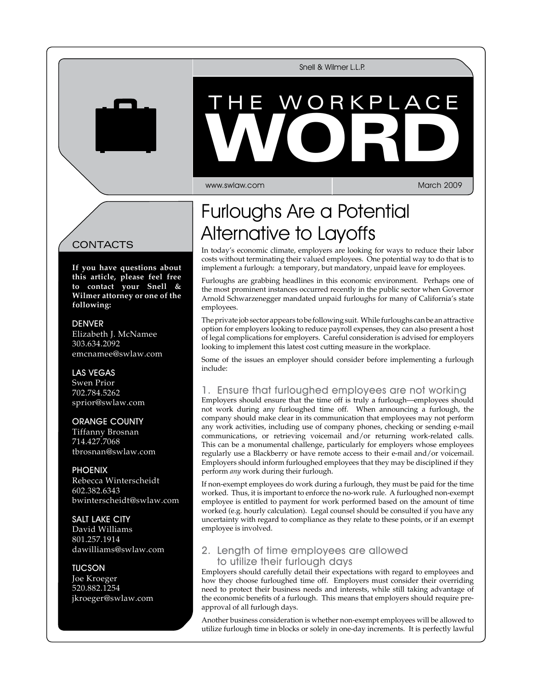Snell & Wilmer L.L.P.

# WORKPL VVORD The Workplace WORD

www.swlaw.com

March 2009

## Furloughs Are a Potential Alternative to Layoffs

In today's economic climate, employers are looking for ways to reduce their labor costs without terminating their valued employees. One potential way to do that is to implement a furlough: a temporary, but mandatory, unpaid leave for employees.

Furloughs are grabbing headlines in this economic environment. Perhaps one of the most prominent instances occurred recently in the public sector when Governor Arnold Schwarzenegger mandated unpaid furloughs for many of California's state employees.

The private job sector appears to be following suit. While furloughs can be an attractive option for employers looking to reduce payroll expenses, they can also present a host of legal complications for employers. Careful consideration is advised for employers looking to implement this latest cost cutting measure in the workplace.

Some of the issues an employer should consider before implementing a furlough include:

## 1. Ensure that furloughed employees are not working

Employers should ensure that the time off is truly a furlough—employees should not work during any furloughed time off. When announcing a furlough, the company should make clear in its communication that employees may not perform any work activities, including use of company phones, checking or sending e-mail communications, or retrieving voicemail and/or returning work-related calls. This can be a monumental challenge, particularly for employers whose employees regularly use a Blackberry or have remote access to their e-mail and/or voicemail. Employers should inform furloughed employees that they may be disciplined if they perform *any* work during their furlough.

If non-exempt employees do work during a furlough, they must be paid for the time worked. Thus, it is important to enforce the no-work rule. A furloughed non-exempt employee is entitled to payment for work performed based on the amount of time worked (e.g. hourly calculation). Legal counsel should be consulted if you have any uncertainty with regard to compliance as they relate to these points, or if an exempt employee is involved.

## 2. Length of time employees are allowed to utilize their furlough days

Employers should carefully detail their expectations with regard to employees and how they choose furloughed time off. Employers must consider their overriding need to protect their business needs and interests, while still taking advantage of the economic benefits of a furlough. This means that employers should require preapproval of all furlough days.

Another business consideration is whether non-exempt employees will be allowed to utilize furlough time in blocks or solely in one-day increments. It is perfectly lawful

## **CONTACTS**

**If you have questions about this article, please feel free to contact your Snell & Wilmer attorney or one of the following:**

**DENVER** 

Elizabeth J. McNamee 303.634.2092 emcnamee@swlaw.com

## Las Vegas

Swen Prior 702.784.5262 sprior@swlaw.com

### Orange County

Tiffanny Brosnan 714.427.7068 tbrosnan@swlaw.com

#### **PHOENIX**

Rebecca Winterscheidt 602.382.6343 bwinterscheidt@swlaw.com

#### Salt Lake City

David Williams 801.257.1914 dawilliams@swlaw.com

**TUCSON** Joe Kroeger 520.882.1254 jkroeger@swlaw.com